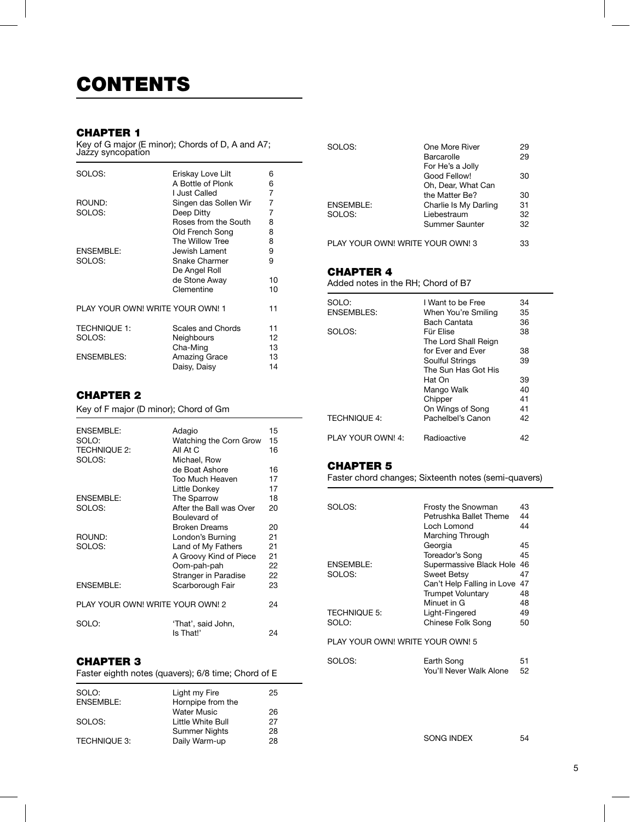### CHAPTER 1

Key of G major (E minor); Chords of D, A and A7; Jaźzy syncopation

| SOLOS:                           | Eriskay Love Lilt     | 6  |
|----------------------------------|-----------------------|----|
|                                  | A Bottle of Plonk     | 6  |
|                                  | I Just Called         | 7  |
| ROUND:                           | Singen das Sollen Wir | 7  |
| SOLOS:                           | Deep Ditty            | 7  |
|                                  | Roses from the South  | 8  |
|                                  | Old French Song       | 8  |
|                                  | The Willow Tree       | 8  |
| ENSEMBLE:                        | Jewish Lament         | 9  |
| SOLOS:                           | Snake Charmer         | 9  |
|                                  | De Angel Roll         |    |
|                                  | de Stone Away         | 10 |
|                                  | Clementine            | 10 |
| PLAY YOUR OWN! WRITE YOUR OWN! 1 |                       |    |
| <b>TECHNIQUE 1:</b>              | Scales and Chords     | 11 |
| SOLOS:                           | Neighbours            | 12 |
|                                  | Cha-Ming              | 13 |
| ENSEMBLES:                       | Amazing Grace         | 13 |
|                                  | Daisy, Daisy          | 14 |

## CHAPTER 2

Key of F major (D minor); Chord of Gm

| ENSEMBLE:<br>SOLO:<br><b>TECHNIQUE 2:</b><br>SOLOS: | Adagio<br>Watching the Corn Grow<br>All At C<br>Michael, Row | 15<br>15<br>16 |
|-----------------------------------------------------|--------------------------------------------------------------|----------------|
|                                                     | de Boat Ashore                                               | 16             |
|                                                     | Too Much Heaven                                              | 17             |
| ENSEMBLE:                                           | Little Donkey<br>The Sparrow                                 | 17<br>18       |
| SOLOS:                                              | After the Ball was Over                                      | 20             |
|                                                     | Boulevard of                                                 |                |
|                                                     | <b>Broken Dreams</b>                                         | 20             |
| ROUND:                                              | London's Burning                                             | 21             |
| SOLOS:                                              | Land of My Fathers                                           | 21             |
|                                                     | A Groovy Kind of Piece                                       | 21             |
|                                                     | Oom-pah-pah                                                  | 22             |
|                                                     | Stranger in Paradise                                         | 22             |
| <b>ENSEMBLE:</b>                                    | Scarborough Fair                                             | 23             |
| PLAY YOUR OWN! WRITE YOUR OWN! 2                    |                                                              | 24             |
| SOLO:                                               | 'That', said John,<br>Is That!'                              | 24             |
|                                                     |                                                              |                |

### CHAPTER 3

| Faster eighth notes (quavers); 6/8 time; Chord of E |  |  |
|-----------------------------------------------------|--|--|
|-----------------------------------------------------|--|--|

| Light my Fire        | 25                |
|----------------------|-------------------|
| <b>Water Music</b>   | 26                |
| Little White Bull    | 27                |
| <b>Summer Nights</b> | 28                |
| Daily Warm-up        | 28                |
|                      | Hornpipe from the |

| SOLOS:                           | One More River<br>Barcarolle<br>For He's a Jolly | 29<br>29 |
|----------------------------------|--------------------------------------------------|----------|
|                                  | Good Fellow!<br>Oh, Dear, What Can               | 30       |
|                                  | the Matter Be?                                   | 30       |
| ENSEMBLE:                        | Charlie Is My Darling                            | 31       |
| SOLOS:                           | Liebestraum                                      | 32       |
|                                  | Summer Saunter                                   | 32       |
| PLAY YOUR OWN! WRITE YOUR OWN! 3 |                                                  | 33       |

## CHAPTER 4

Added notes in the RH; Chord of B7

| SOLO:               | I Want to be Free    | 34 |
|---------------------|----------------------|----|
| <b>ENSEMBLES:</b>   | When You're Smiling  | 35 |
|                     | Bach Cantata         | 36 |
| SOLOS:              | Für Flise            | 38 |
|                     | The Lord Shall Reign |    |
|                     | for Ever and Ever    | 38 |
|                     | Soulful Strings      | 39 |
|                     | The Sun Has Got His  |    |
|                     | Hat On               | 39 |
|                     | Mango Walk           | 40 |
|                     | Chipper              | 41 |
|                     | On Wings of Song     | 41 |
| <b>TECHNIQUE 4:</b> | Pachelbel's Canon    | 42 |
| PLAY YOUR OWN! 4:   | Radioactive          | 42 |

#### CHAPTER 5

Faster chord changes; Sixteenth notes (semi-quavers)

| SOLOS:                           | <b>Frosty the Snowman</b>  | 43 |  |
|----------------------------------|----------------------------|----|--|
|                                  | Petrushka Ballet Theme     | 44 |  |
|                                  | Loch Lomond                | 44 |  |
|                                  | Marching Through           |    |  |
|                                  | Georgia                    | 45 |  |
|                                  | Toreador's Song            | 45 |  |
| <b>ENSEMBLE:</b>                 | Supermassive Black Hole    | 46 |  |
| SOLOS:                           | Sweet Betsy                | 47 |  |
|                                  | Can't Help Falling in Love | 47 |  |
|                                  | <b>Trumpet Voluntary</b>   | 48 |  |
|                                  | Minuet in G                | 48 |  |
| <b>TECHNIQUE 5:</b>              | Light-Fingered             | 49 |  |
| SOLO:                            | Chinese Folk Song          | 50 |  |
| PLAY YOUR OWN! WRITE YOUR OWN! 5 |                            |    |  |

| SOLOS: | Earth Song              | 51 |
|--------|-------------------------|----|
|        | You'll Never Walk Alone | 52 |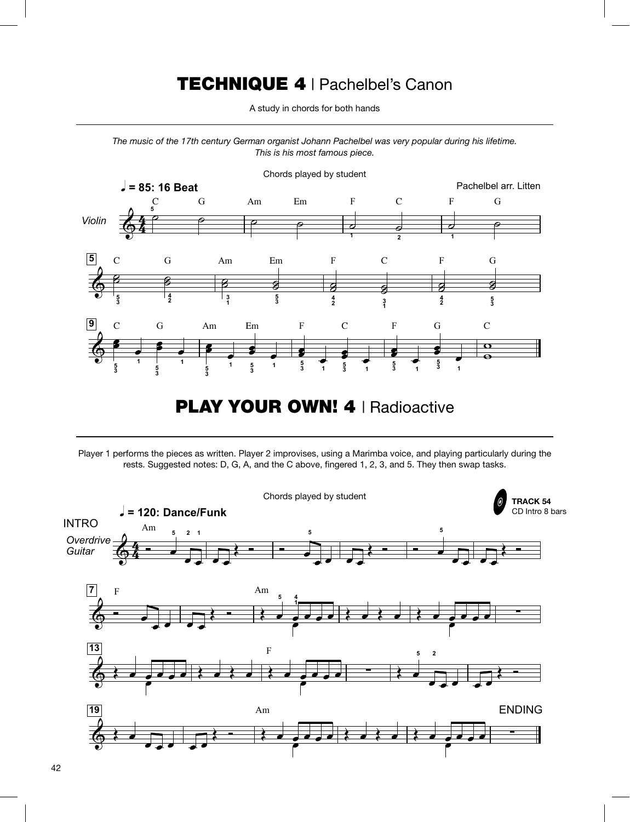# TECHNIQUE 4 | Pachelbel's Canon

A study in chords for both hands<br>

The music of the 17th century German organist Johann Pachelbel was very popular during his lifetime. *Innan organist Joniann Pachelbel wa*<br>This is his most famous piece. r<br>Technikal parameter in dia kalendarya<br>Technikal parameter in dia kalendarya Pachelbel wa



**PLAY YOUR OWN! 4 | Radioactive** 

m<br>Player 1 performs the pieces as written. Player 2 improvises, using a Marimba voice, and playing particularly during the rests. Suggested notes: D, G, A, and the C above, fingered 1, 2, 3, and 5. They then swap tasks.